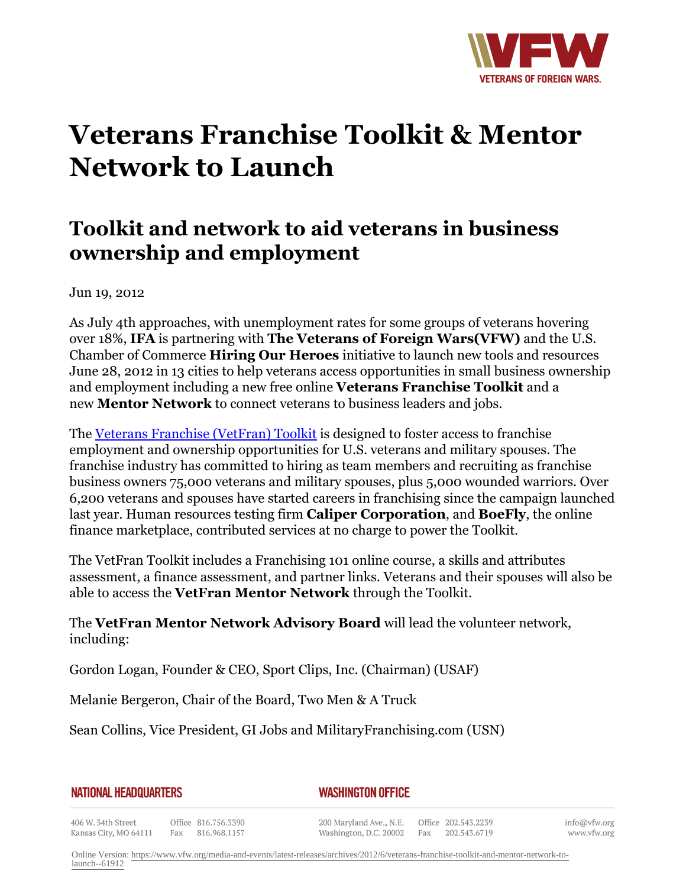

## **Veterans Franchise Toolkit & Mentor Network to Launch**

## **Toolkit and network to aid veterans in business ownership and employment**

Jun 19, 2012

As July 4th approaches, with unemployment rates for some groups of veterans hovering over 18%, **IFA** is partnering with **The Veterans of Foreign Wars(VFW)** and the U.S. Chamber of Commerce **Hiring Our Heroes** initiative to launch new tools and resources June 28, 2012 in 13 cities to help veterans access opportunities in small business ownership and employment including a new free online **Veterans Franchise Toolkit** and a new **Mentor Network** to connect veterans to business leaders and jobs.

The [Veterans Franchise \(VetFran\) Toolkit](http:http://www.vetfran.com/veterans-toolkit-signup/) is designed to foster access to franchise employment and ownership opportunities for U.S. veterans and military spouses. The franchise industry has committed to hiring as team members and recruiting as franchise business owners 75,000 veterans and military spouses, plus 5,000 wounded warriors. Over 6,200 veterans and spouses have started careers in franchising since the campaign launched last year. Human resources testing firm **Caliper Corporation**, and **BoeFly**, the online finance marketplace, contributed services at no charge to power the Toolkit.

The VetFran Toolkit includes a Franchising 101 online course, a skills and attributes assessment, a finance assessment, and partner links. Veterans and their spouses will also be able to access the **VetFran Mentor Network** through the Toolkit.

The **VetFran Mentor Network Advisory Board** will lead the volunteer network, including:

Gordon Logan, Founder & CEO, Sport Clips, Inc. (Chairman) (USAF)

Melanie Bergeron, Chair of the Board, Two Men & A Truck

Sean Collins, Vice President, GI Jobs and MilitaryFranchising.com (USN)

|  | <b>NATIONAL HEADQUARTERS</b> |  |
|--|------------------------------|--|
|  |                              |  |

*WASHINGTON OFFICE* 

406 W. 34th Street Office 816.756.3390 Fax 816.968.1157 Kansas City, MO 64111

200 Maryland Ave., N.E. Washington, D.C. 20002

Office 202.543.2239 Fax 202.543.6719

info@vfw.org www.vfw.org

Online Version: [https://www.vfw.org/media-and-events/latest-releases/archives/2012/6/veterans-franchise-toolkit-and-mentor-network-to](https://www.vfw.org/media-and-events/latest-releases/archives/2012/6/veterans-franchise-toolkit-and-mentor-network-to-launch--61912)[launch--61912](https://www.vfw.org/media-and-events/latest-releases/archives/2012/6/veterans-franchise-toolkit-and-mentor-network-to-launch--61912)